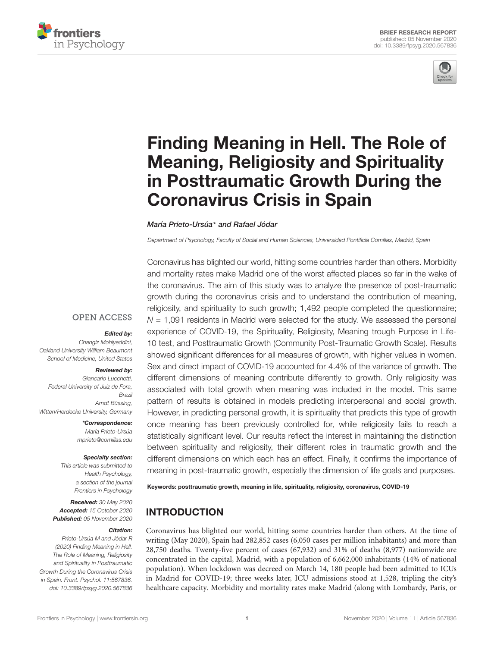



# Finding Meaning in Hell. The Role of [Meaning, Religiosity and Spirituality](https://www.frontiersin.org/articles/10.3389/fpsyg.2020.567836/full) in Posttraumatic Growth During the Coronavirus Crisis in Spain

#### María Prieto-Ursúa\* and Rafael Jódar

Department of Psychology, Faculty of Social and Human Sciences, Universidad Pontificia Comillas, Madrid, Spain

Coronavirus has blighted our world, hitting some countries harder than others. Morbidity and mortality rates make Madrid one of the worst affected places so far in the wake of the coronavirus. The aim of this study was to analyze the presence of post-traumatic growth during the coronavirus crisis and to understand the contribution of meaning, religiosity, and spirituality to such growth; 1,492 people completed the questionnaire;  $N = 1,091$  residents in Madrid were selected for the study. We assessed the personal experience of COVID-19, the Spirituality, Religiosity, Meaning trough Purpose in Life-10 test, and Posttraumatic Growth (Community Post-Traumatic Growth Scale). Results showed significant differences for all measures of growth, with higher values in women. Sex and direct impact of COVID-19 accounted for 4.4% of the variance of growth. The different dimensions of meaning contribute differently to growth. Only religiosity was associated with total growth when meaning was included in the model. This same pattern of results is obtained in models predicting interpersonal and social growth. However, in predicting personal growth, it is spirituality that predicts this type of growth once meaning has been previously controlled for, while religiosity fails to reach a statistically significant level. Our results reflect the interest in maintaining the distinction between spirituality and religiosity, their different roles in traumatic growth and the different dimensions on which each has an effect. Finally, it confirms the importance of meaning in post-traumatic growth, especially the dimension of life goals and purposes.

Keywords: posttraumatic growth, meaning in life, spirituality, religiosity, coronavirus, COVID-19

# INTRODUCTION

Coronavirus has blighted our world, hitting some countries harder than others. At the time of writing (May 2020), Spain had 282,852 cases (6,050 cases per million inhabitants) and more than 28,750 deaths. Twenty-five percent of cases (67,932) and 31% of deaths (8,977) nationwide are concentrated in the capital, Madrid, with a population of 6,662,000 inhabitants (14% of national population). When lockdown was decreed on March 14, 180 people had been admitted to ICUs in Madrid for COVID-19; three weeks later, ICU admissions stood at 1,528, tripling the city's healthcare capacity. Morbidity and mortality rates make Madrid (along with Lombardy, Paris, or

#### **OPEN ACCESS**

#### Edited by:

Changiz Mohiyeddini, Oakland University William Beaumont School of Medicine, United States

#### Reviewed by:

Giancarlo Lucchetti, Federal University of Juiz de Fora, Brazil Arndt Büssing, Witten/Herdecke University, Germany

> \*Correspondence: María Prieto-Ursúa mprieto@comillas.edu

#### Specialty section:

This article was submitted to Health Psychology, a section of the journal Frontiers in Psychology

Received: 30 May 2020 Accepted: 15 October 2020 Published: 05 November 2020

#### Citation:

Prieto-Ursúa M and Jódar R (2020) Finding Meaning in Hell. The Role of Meaning, Religiosity and Spirituality in Posttraumatic Growth During the Coronavirus Crisis in Spain. Front. Psychol. 11:567836. doi: [10.3389/fpsyg.2020.567836](https://doi.org/10.3389/fpsyg.2020.567836)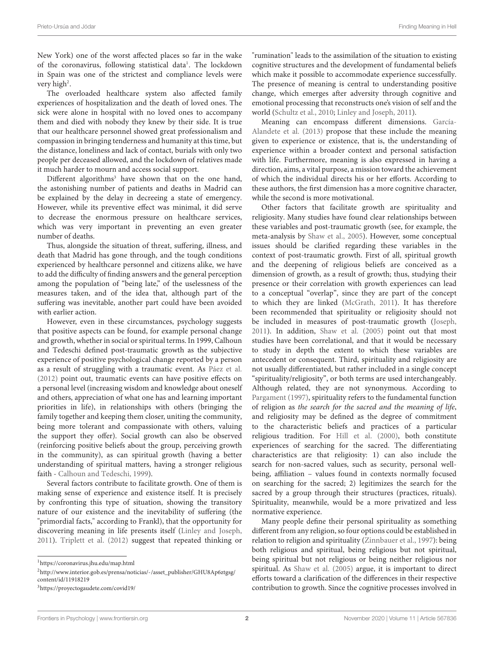New York) one of the worst affected places so far in the wake of the coronavirus, following statistical data<sup>[1](#page-1-0)</sup>. The lockdown in Spain was one of the strictest and compliance levels were very high<sup>[2](#page-1-1)</sup>.

The overloaded healthcare system also affected family experiences of hospitalization and the death of loved ones. The sick were alone in hospital with no loved ones to accompany them and died with nobody they knew by their side. It is true that our healthcare personnel showed great professionalism and compassion in bringing tenderness and humanity at this time, but the distance, loneliness and lack of contact, burials with only two people per deceased allowed, and the lockdown of relatives made it much harder to mourn and access social support.

Different algorithms<sup>[3](#page-1-2)</sup> have shown that on the one hand, the astonishing number of patients and deaths in Madrid can be explained by the delay in decreeing a state of emergency. However, while its preventive effect was minimal, it did serve to decrease the enormous pressure on healthcare services, which was very important in preventing an even greater number of deaths.

Thus, alongside the situation of threat, suffering, illness, and death that Madrid has gone through, and the tough conditions experienced by healthcare personnel and citizens alike, we have to add the difficulty of finding answers and the general perception among the population of "being late," of the uselessness of the measures taken, and of the idea that, although part of the suffering was inevitable, another part could have been avoided with earlier action.

However, even in these circumstances, psychology suggests that positive aspects can be found, for example personal change and growth, whether in social or spiritual terms. In 1999, Calhoun and Tedeschi defined post-traumatic growth as the subjective experience of positive psychological change reported by a person as a result of struggling with a traumatic event. As [Páez et al.](#page-6-0) [\(2012\)](#page-6-0) point out, traumatic events can have positive effects on a personal level (increasing wisdom and knowledge about oneself and others, appreciation of what one has and learning important priorities in life), in relationships with others (bringing the family together and keeping them closer, uniting the community, being more tolerant and compassionate with others, valuing the support they offer). Social growth can also be observed (reinforcing positive beliefs about the group, perceiving growth in the community), as can spiritual growth (having a better understanding of spiritual matters, having a stronger religious faith - [Calhoun and Tedeschi,](#page-6-1) [1999\)](#page-6-1).

Several factors contribute to facilitate growth. One of them is making sense of experience and existence itself. It is precisely by confronting this type of situation, showing the transitory nature of our existence and the inevitability of suffering (the "primordial facts," according to Frankl), that the opportunity for discovering meaning in life presents itself [\(Linley and Joseph,](#page-6-2) [2011\)](#page-6-2). [Triplett et al.](#page-6-3) [\(2012\)](#page-6-3) suggest that repeated thinking or

<span id="page-1-2"></span><sup>3</sup><https://proyectogaudete.com/covid19/>

"rumination" leads to the assimilation of the situation to existing cognitive structures and the development of fundamental beliefs which make it possible to accommodate experience successfully. The presence of meaning is central to understanding positive change, which emerges after adversity through cognitive and emotional processing that reconstructs one's vision of self and the world [\(Schultz et al.,](#page-6-4) [2010;](#page-6-4) [Linley and Joseph,](#page-6-2) [2011\)](#page-6-2).

Meaning can encompass different dimensions. [García-](#page-6-5)[Alandete et al.](#page-6-5) [\(2013\)](#page-6-5) propose that these include the meaning given to experience or existence, that is, the understanding of experience within a broader context and personal satisfaction with life. Furthermore, meaning is also expressed in having a direction, aims, a vital purpose, a mission toward the achievement of which the individual directs his or her efforts. According to these authors, the first dimension has a more cognitive character, while the second is more motivational.

Other factors that facilitate growth are spirituality and religiosity. Many studies have found clear relationships between these variables and post-traumatic growth (see, for example, the meta-analysis by [Shaw et al.,](#page-6-6) [2005\)](#page-6-6). However, some conceptual issues should be clarified regarding these variables in the context of post-traumatic growth. First of all, spiritual growth and the deepening of religious beliefs are conceived as a dimension of growth, as a result of growth; thus, studying their presence or their correlation with growth experiences can lead to a conceptual "overlap", since they are part of the concept to which they are linked [\(McGrath,](#page-6-7) [2011\)](#page-6-7). It has therefore been recommended that spirituality or religiosity should not be included in measures of post-traumatic growth [\(Joseph,](#page-6-8) [2011\)](#page-6-8). In addition, [Shaw et al.](#page-6-6) [\(2005\)](#page-6-6) point out that most studies have been correlational, and that it would be necessary to study in depth the extent to which these variables are antecedent or consequent. Third, spirituality and religiosity are not usually differentiated, but rather included in a single concept "spirituality/religiosity", or both terms are used interchangeably. Although related, they are not synonymous. According to [Pargament](#page-6-9) [\(1997\)](#page-6-9), spirituality refers to the fundamental function of religion as the search for the sacred and the meaning of life, and religiosity may be defined as the degree of commitment to the characteristic beliefs and practices of a particular religious tradition. For [Hill et al.](#page-6-10) [\(2000\)](#page-6-10), both constitute experiences of searching for the sacred. The differentiating characteristics are that religiosity: 1) can also include the search for non-sacred values, such as security, personal wellbeing, affiliation – values found in contexts normally focused on searching for the sacred; 2) legitimizes the search for the sacred by a group through their structures (practices, rituals). Spirituality, meanwhile, would be a more privatized and less normative experience.

Many people define their personal spirituality as something different from any religion, so four options could be established in relation to religion and spirituality [\(Zinnbauer et al.,](#page-7-0) [1997\)](#page-7-0): being both religious and spiritual, being religious but not spiritual, being spiritual but not religious or being neither religious nor spiritual. As [Shaw et al.](#page-6-6) [\(2005\)](#page-6-6) argue, it is important to direct efforts toward a clarification of the differences in their respective contribution to growth. Since the cognitive processes involved in

<span id="page-1-0"></span><sup>1</sup><https://coronavirus.jhu.edu/map.html>

<span id="page-1-1"></span><sup>2</sup>[http://www.interior.gob.es/prensa/noticias/-/asset\\_publisher/GHU8Ap6ztgsg/](http://www.interior.gob.es/prensa/noticias/-/asset_publisher/GHU8Ap6ztgsg/content/id/11918219) [content/id/11918219](http://www.interior.gob.es/prensa/noticias/-/asset_publisher/GHU8Ap6ztgsg/content/id/11918219)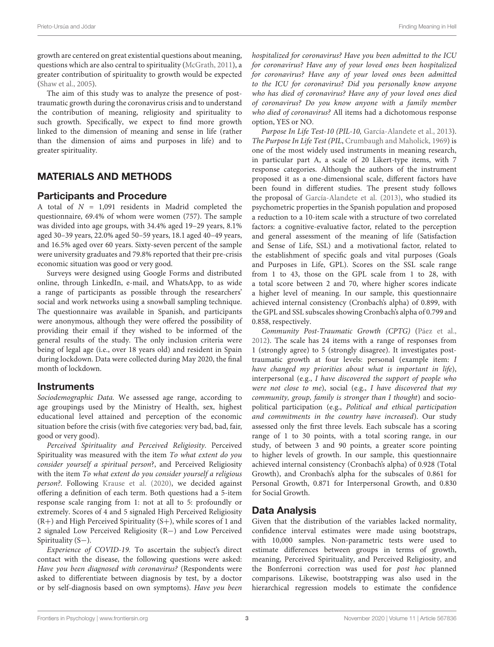growth are centered on great existential questions about meaning, questions which are also central to spirituality [\(McGrath,](#page-6-7) [2011\)](#page-6-7), a greater contribution of spirituality to growth would be expected [\(Shaw et al.,](#page-6-6) [2005\)](#page-6-6).

The aim of this study was to analyze the presence of posttraumatic growth during the coronavirus crisis and to understand the contribution of meaning, religiosity and spirituality to such growth. Specifically, we expect to find more growth linked to the dimension of meaning and sense in life (rather than the dimension of aims and purposes in life) and to greater spirituality.

# MATERIALS AND METHODS

## Participants and Procedure

A total of  $N = 1,091$  residents in Madrid completed the questionnaire, 69.4% of whom were women (757). The sample was divided into age groups, with 34.4% aged 19–29 years, 8.1% aged 30–39 years, 22.0% aged 50–59 years, 18.1 aged 40–49 years, and 16.5% aged over 60 years. Sixty-seven percent of the sample were university graduates and 79.8% reported that their pre-crisis economic situation was good or very good.

Surveys were designed using Google Forms and distributed online, through LinkedIn, e-mail, and WhatsApp, to as wide a range of participants as possible through the researchers' social and work networks using a snowball sampling technique. The questionnaire was available in Spanish, and participants were anonymous, although they were offered the possibility of providing their email if they wished to be informed of the general results of the study. The only inclusion criteria were being of legal age (i.e., over 18 years old) and resident in Spain during lockdown. Data were collected during May 2020, the final month of lockdown.

#### **Instruments**

Sociodemographic Data. We assessed age range, according to age groupings used by the Ministry of Health, sex, highest educational level attained and perception of the economic situation before the crisis (with five categories: very bad, bad, fair, good or very good).

Perceived Spirituality and Perceived Religiosity. Perceived Spirituality was measured with the item To what extent do you consider yourself a spiritual person?, and Perceived Religiosity with the item To what extent do you consider yourself a religious person?. Following [Krause et al.](#page-6-11) [\(2020\)](#page-6-11), we decided against offering a definition of each term. Both questions had a 5-item response scale ranging from 1: not at all to 5: profoundly or extremely. Scores of 4 and 5 signaled High Perceived Religiosity (R+) and High Perceived Spirituality (S+), while scores of 1 and 2 signaled Low Perceived Religiosity (R−) and Low Perceived Spirituality (S−).

Experience of COVID-19. To ascertain the subject's direct contact with the disease, the following questions were asked: Have you been diagnosed with coronavirus? (Respondents were asked to differentiate between diagnosis by test, by a doctor or by self-diagnosis based on own symptoms). Have you been

hospitalized for coronavirus? Have you been admitted to the ICU for coronavirus? Have any of your loved ones been hospitalized for coronavirus? Have any of your loved ones been admitted to the ICU for coronavirus? Did you personally know anyone who has died of coronavirus? Have any of your loved ones died of coronavirus? Do you know anyone with a family member who died of coronavirus? All items had a dichotomous response option, YES or NO.

Purpose In Life Test-10 (PIL-10, [García-Alandete et al.,](#page-6-5) [2013\)](#page-6-5). The Purpose In Life Test (PIL, [Crumbaugh and Maholick,](#page-6-12) [1969\)](#page-6-12) is one of the most widely used instruments in meaning research, in particular part A, a scale of 20 Likert-type items, with 7 response categories. Although the authors of the instrument proposed it as a one-dimensional scale, different factors have been found in different studies. The present study follows the proposal of [García-Alandete et al.](#page-6-5) [\(2013\)](#page-6-5), who studied its psychometric properties in the Spanish population and proposed a reduction to a 10-item scale with a structure of two correlated factors: a cognitive-evaluative factor, related to the perception and general assessment of the meaning of life (Satisfaction and Sense of Life, SSL) and a motivational factor, related to the establishment of specific goals and vital purposes (Goals and Purposes in Life, GPL). Scores on the SSL scale range from 1 to 43, those on the GPL scale from 1 to 28, with a total score between 2 and 70, where higher scores indicate a higher level of meaning. In our sample, this questionnaire achieved internal consistency (Cronbach's alpha) of 0.899, with the GPL and SSL subscales showing Cronbach's alpha of 0.799 and 0.858, respectively.

Community Post-Traumatic Growth (CPTG) [\(Páez et al.,](#page-6-0) [2012\)](#page-6-0). The scale has 24 items with a range of responses from 1 (strongly agree) to 5 (strongly disagree). It investigates posttraumatic growth at four levels: personal (example item: I have changed my priorities about what is important in life), interpersonal (e.g., I have discovered the support of people who were not close to me), social (e.g., I have discovered that my community, group, family is stronger than I thought) and sociopolitical participation (e.g., Political and ethical participation and commitments in the country have increased). Our study assessed only the first three levels. Each subscale has a scoring range of 1 to 30 points, with a total scoring range, in our study, of between 3 and 90 points, a greater score pointing to higher levels of growth. In our sample, this questionnaire achieved internal consistency (Cronbach's alpha) of 0.928 (Total Growth), and Cronbach's alpha for the subscales of 0.861 for Personal Growth, 0.871 for Interpersonal Growth, and 0.830 for Social Growth.

#### Data Analysis

Given that the distribution of the variables lacked normality, confidence interval estimates were made using bootstraps, with 10,000 samples. Non-parametric tests were used to estimate differences between groups in terms of growth, meaning, Perceived Spirituality, and Perceived Religiosity, and the Bonferroni correction was used for post hoc planned comparisons. Likewise, bootstrapping was also used in the hierarchical regression models to estimate the confidence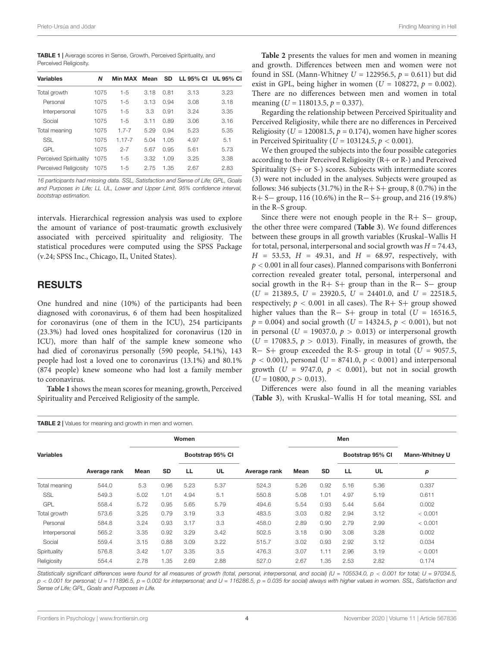<span id="page-3-0"></span>TABLE 1 | Average scores in Sense, Growth, Perceived Spirituality, and Perceived Religiosity.

| <b>Variables</b>       | N    | Min MAX Mean |      | <b>SD</b> | LL 95% CI | UL 95% CI |
|------------------------|------|--------------|------|-----------|-----------|-----------|
| Total growth           | 1075 | $1 - 5$      | 3.18 | 0.81      | 3.13      | 3.23      |
| Personal               | 1075 | $1 - 5$      | 3.13 | 0.94      | 3.08      | 3.18      |
| Interpersonal          | 1075 | $1 - 5$      | 3.3  | 0.91      | 3.24      | 3.35      |
| Social                 | 1075 | $1 - 5$      | 3.11 | 0.89      | 3.06      | 3.16      |
| Total meaning          | 1075 | $1.7 - 7$    | 5.29 | 0.94      | 5.23      | 5.35      |
| SSL                    | 1075 | $1.17 - 7$   | 5.04 | 1.05      | 4.97      | 5.1       |
| <b>GPL</b>             | 1075 | $2 - 7$      | 5.67 | 0.95      | 5.61      | 5.73      |
| Perceived Spirituality | 1075 | 1-5          | 3.32 | 1.09      | 3.25      | 3.38      |
| Perceived Religiosity  | 1075 | $1 - 5$      | 2.75 | 1.35      | 2.67      | 2.83      |

16 participants had missing data. SSL, Satisfaction and Sense of Life; GPL, Goals and Purposes in Life; LL UL, Lower and Upper Limit, 95% confidence interval, bootstrap estimation.

intervals. Hierarchical regression analysis was used to explore the amount of variance of post-traumatic growth exclusively associated with perceived spirituality and religiosity. The statistical procedures were computed using the SPSS Package (v.24; SPSS Inc., Chicago, IL, United States).

## RESULTS

One hundred and nine (10%) of the participants had been diagnosed with coronavirus, 6 of them had been hospitalized for coronavirus (one of them in the ICU), 254 participants (23.3%) had loved ones hospitalized for coronavirus (120 in ICU), more than half of the sample knew someone who had died of coronavirus personally (590 people, 54.1%), 143 people had lost a loved one to coronavirus (13.1%) and 80.1% (874 people) knew someone who had lost a family member to coronavirus.

**[Table 1](#page-3-0)** shows the mean scores for meaning, growth, Perceived Spirituality and Perceived Religiosity of the sample.

**[Table 2](#page-3-1)** presents the values for men and women in meaning and growth. Differences between men and women were not found in SSL (Mann-Whitney  $U = 122956.5$ ,  $p = 0.611$ ) but did exist in GPL, being higher in women ( $U = 108272$ ,  $p = 0.002$ ). There are no differences between men and women in total meaning ( $U = 118013.5$ ,  $p = 0.337$ ).

Regarding the relationship between Perceived Spirituality and Perceived Religiosity, while there are no differences in Perceived Religiosity ( $U = 120081.5$ ,  $p = 0.174$ ), women have higher scores in Perceived Spirituality ( $U = 103124.5$ ,  $p < 0.001$ ).

We then grouped the subjects into the four possible categories according to their Perceived Religiosity (R+ or R-) and Perceived Spirituality (S+ or S-) scores. Subjects with intermediate scores (3) were not included in the analyses. Subjects were grouped as follows: 346 subjects (31.7%) in the  $R + S +$  group, 8 (0.7%) in the R+ S− group, 116 (10.6%) in the R− S+ group, and 216 (19.8%) in the R–S group.

Since there were not enough people in the R+ S− group, the other three were compared (**[Table 3](#page-4-0)**). We found differences between these groups in all growth variables (Kruskal–Wallis H for total, personal, interpersonal and social growth was  $H = 74.43$ ,  $H = 53.53$ ,  $H = 49.31$ , and  $H = 68.97$ , respectively, with  $p < 0.001$  in all four cases). Planned comparisons with Bonferroni correction revealed greater total, personal, interpersonal and social growth in the  $R+ S+$  group than in the  $R-S-$  group  $(U = 21389.5, U = 23920.5, U = 24401.0, and U = 22518.5,$ respectively;  $p < 0.001$  in all cases). The R+ S+ group showed higher values than the R− S+ group in total ( $U = 16516.5$ ,  $p = 0.004$ ) and social growth (U = 14324.5,  $p < 0.001$ ), but not in personal ( $U = 19037.0$ ,  $p > 0.013$ ) or interpersonal growth  $(U = 17083.5, p > 0.013)$ . Finally, in measures of growth, the R− S+ group exceeded the R-S- group in total ( $U = 9057.5$ ,  $p < 0.001$ ), personal (U = 8741.0,  $p < 0.001$ ) and interpersonal growth ( $U = 9747.0$ ,  $p < 0.001$ ), but not in social growth  $(U = 10800, p > 0.013).$ 

Differences were also found in all the meaning variables (**[Table 3](#page-4-0)**), with Kruskal–Wallis H for total meaning, SSL and

<span id="page-3-1"></span>

|                  | <b>TABLE 2</b>   Values for meaning and growth in men and women. |       |           |      |                  |              |      |           |      |                  |                       |
|------------------|------------------------------------------------------------------|-------|-----------|------|------------------|--------------|------|-----------|------|------------------|-----------------------|
|                  |                                                                  | Women |           |      |                  |              | Men  |           |      |                  |                       |
| <b>Variables</b> |                                                                  |       |           |      | Bootstrap 95% CI |              |      |           |      | Bootstrap 95% CI | <b>Mann-Whitney U</b> |
|                  | Average rank                                                     | Mean  | <b>SD</b> | LL.  | UL               | Average rank | Mean | <b>SD</b> | LL.  | UL               | p                     |
| Total meaning    | 544.0                                                            | 5.3   | 0.96      | 5.23 | 5.37             | 524.3        | 5.26 | 0.92      | 5.16 | 5.36             | 0.337                 |
| SSL              | 549.3                                                            | 5.02  | 1.01      | 4.94 | 5.1              | 550.8        | 5.08 | 1.01      | 4.97 | 5.19             | 0.611                 |
| GPL              | 558.4                                                            | 5.72  | 0.95      | 5.65 | 5.79             | 494.6        | 5.54 | 0.93      | 5.44 | 5.64             | 0.002                 |
| Total growth     | 573.6                                                            | 3.25  | 0.79      | 3.19 | 3.3              | 483.5        | 3.03 | 0.82      | 2.94 | 3.12             | < 0.001               |
| Personal         | 584.8                                                            | 3.24  | 0.93      | 3.17 | 3.3              | 458.0        | 2.89 | 0.90      | 2.79 | 2.99             | < 0.001               |
| Interpersonal    | 565.2                                                            | 3.35  | 0.92      | 3.29 | 3.42             | 502.5        | 3.18 | 0.90      | 3.08 | 3.28             | 0.002                 |
| Social           | 559.4                                                            | 3.15  | 0.88      | 3.09 | 3.22             | 515.7        | 3.02 | 0.93      | 2.92 | 3.12             | 0.034                 |
| Spirituality     | 576.8                                                            | 3.42  | 1.07      | 3.35 | 3.5              | 476.3        | 3.07 | 1.11      | 2.96 | 3.19             | < 0.001               |
| Religiosity      | 554.4                                                            | 2.78  | 1.35      | 2.69 | 2.88             | 527.0        | 2.67 | 1.35      | 2.53 | 2.82             | 0.174                 |

Statistically significant differences were found for all measures of growth (total, personal, interpersonal, and social) (U = 105534.0,  $p < 0.001$  for total; U = 97034.5,  $p < 0.001$  for personal; U = 111896.5,  $p = 0.002$  for interpersonal; and U = 116286.5,  $p = 0.035$  for social) always with higher values in women. SSL, Satisfaction and Sense of Life; GPL, Goals and Purposes in Life.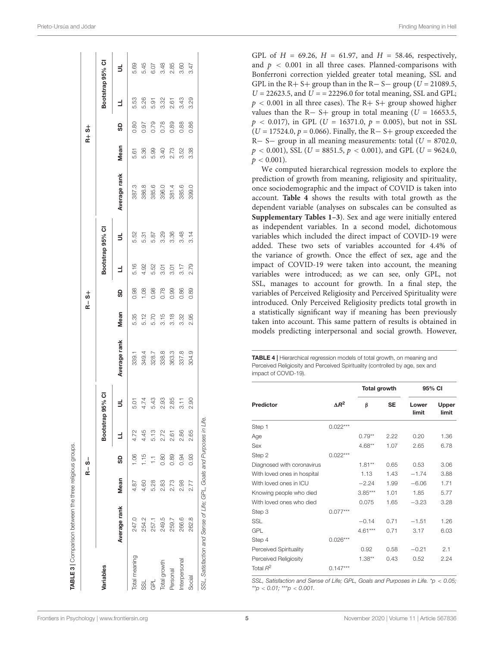<span id="page-4-0"></span>

|               |              |             | $R - S -$ |           |                                                                                                                                                                                                                                |                |                  | \$<br>ç |                            |                  |                         |                      | $R + S +$                       |                      |                                                                    |
|---------------|--------------|-------------|-----------|-----------|--------------------------------------------------------------------------------------------------------------------------------------------------------------------------------------------------------------------------------|----------------|------------------|---------|----------------------------|------------------|-------------------------|----------------------|---------------------------------|----------------------|--------------------------------------------------------------------|
| Variables     |              |             |           | Bootstrap | 95% CI                                                                                                                                                                                                                         |                |                  |         |                            | Bootstrap 95% CI |                         |                      |                                 |                      | Bootstrap 95% CI                                                   |
|               | Average rank | <b>Mean</b> | မ္တ       |           |                                                                                                                                                                                                                                | Average rank   | Mean             | 9       | E                          | Б                | Average rank            | Mean                 | 9                               | E                    | Б                                                                  |
| Total meaning | 247.0        | 4.87        | 1.06      | 4.72      | 5.01                                                                                                                                                                                                                           | 339.           | 5.35             | 0.98    | 5.16                       | 5.52             | 387.3                   | 5.61                 | 0.80                            | 5.53                 | 5.69                                                               |
| 39            | 254.2        | 4.60        | 1.15      | 4.45      |                                                                                                                                                                                                                                |                |                  | 1.08    | 4.92                       |                  | 386.8                   |                      |                                 |                      |                                                                    |
| GPL           | 257.1        | 5.28        | Ħ         | 5.13      |                                                                                                                                                                                                                                | 349.4<br>328.7 | 5.12<br>5.70     | 0.98    | 5.52                       |                  | 385.6                   | 5.36<br>5.99         |                                 | 5.26<br>5.91         |                                                                    |
| Total growth  | 249.5        | 2.83        | 0.80      | 2.72      | $7, 4, 3, 8, 8, 5, 6, 7, 8, 8, 6, 7, 6, 8, 6, 7, 6, 8, 6, 7, 6, 8, 6, 7, 6, 7, 8, 8, 6, 7, 7, 8, 8, 6, 7, 7, 8, 8, 6, 7, 7, 8, 8, 6, 7, 7, 8, 8, 6, 7, 7, 8, 8, 6, 7, 7, 8, 8, 8, 7, 7, 8, 8, 8, 7, 7, 8, 8, 8, 7, 7, 8, 8, 8$ | 338.8          | $3.18$<br>$3.18$ | 0.78    | $3.01$<br>$3.01$<br>$3.17$ |                  |                         | 3.40<br>2.73<br>3.52 | 88.67<br>0.78<br>0.000<br>0.000 | 3.32<br>2.61<br>3.43 | $45$ $88$ $80$ $7$<br>$60$ $7$ $80$ $80$ $7$<br>$60$ $70$ $80$ $7$ |
| Personal      | 259.7        | 2.73        | 0.89      | 2.61      |                                                                                                                                                                                                                                | 363.3          |                  | 0.99    |                            |                  | 396.0<br>381.4<br>385.6 |                      |                                 |                      |                                                                    |
| Interpersonal | 266.6        | 2.98        | 0.94      | 2.86      |                                                                                                                                                                                                                                | 337.8          | 3.32             | 0.86    |                            |                  |                         |                      |                                 |                      |                                                                    |
| Social        | 262.8        | 2.77        | 0.93      | 2.65      | 2.90                                                                                                                                                                                                                           | 304.9          | 2.95             | 0.89    | 2.79                       |                  | 399.0                   | 3.38                 | 0.86                            | 3.29                 |                                                                    |

GPL of  $H = 69.26$ ,  $H = 61.97$ , and  $H = 58.46$ , respectively, and  $p < 0.001$  in all three cases. Planned-comparisons with Bonferroni correction yielded greater total meaning, SSL and GPL in the R+ S+ group than in the R− S− group ( $U = 21089.5$ ,  $U = 22623.5$ , and  $U = 22296.0$  for total meaning, SSL and GPL;  $p < 0.001$  in all three cases). The R+ S+ group showed higher values than the R− S+ group in total meaning ( $U = 16653.5$ ,  $p < 0.017$ ), in GPL (U = 16371.0,  $p = 0.005$ ), but not in SSL  $(U = 17524.0, p = 0.066)$ . Finally, the R-S+ group exceeded the R− S− group in all meaning measurements: total ( $U = 8702.0$ ,  $p < 0.001$ ), SSL (U = 8851.5,  $p < 0.001$ ), and GPL (U = 9624.0,  $p < 0.001$ ).

We computed hierarchical regression models to explore the prediction of growth from meaning, religiosity and spirituality, once sociodemographic and the impact of COVID is taken into account. **[Table 4](#page-4-1)** shows the results with total growth as the dependent variable (analyses on subscales can be consulted as **[Supplementary Tables 1–3](#page-6-13)**). Sex and age were initially entered as independent variables. In a second model, dichotomous variables which included the direct impact of COVID-19 were added. These two sets of variables accounted for 4.4% of the variance of growth. Once the effect of sex, age and the impact of COVID-19 were taken into account, the meaning variables were introduced; as we can see, only GPL, not SSL, manages to account for growth. In a final step, the variables of Perceived Religiosity and Perceived Spirituality were introduced. Only Perceived Religiosity predicts total growth in a statistically significant way if meaning has been previously taken into account. This same pattern of results is obtained in models predicting interpersonal and social growth. However,

<span id="page-4-1"></span>TABLE 4 | Hierarchical regression models of total growth, on meaning and Perceived Religiosity and Perceived Spirituality (controlled by age, sex and impact of COVID-19).

|                             |              | Total growth |           |                | 95% CI         |
|-----------------------------|--------------|--------------|-----------|----------------|----------------|
| Predictor                   | $\Delta R^2$ | β            | <b>SE</b> | Lower<br>limit | Upper<br>limit |
| Step 1                      | $0.022***$   |              |           |                |                |
| Age                         |              | $0.79**$     | 2.22      | 0.20           | 1.36           |
| Sex                         |              | $4.68**$     | 1.07      | 2.65           | 6.78           |
| Step 2                      | $0.022***$   |              |           |                |                |
| Diagnosed with coronavirus  |              | $1.81**$     | 0.65      | 0.53           | 3.06           |
| With loved ones in hospital |              | 1.13         | 1.43      | $-1.74$        | 3.88           |
| With loved ones in ICU      |              | $-2.24$      | 1.99      | $-6.06$        | 1.71           |
| Knowing people who died     |              | $3.85***$    | 1.01      | 1.85           | 5.77           |
| With loved ones who died    |              | 0.075        | 1.65      | $-3.23$        | 3.28           |
| Step 3                      | $0.077***$   |              |           |                |                |
| <b>SSL</b>                  |              | $-0.14$      | 0.71      | $-1.51$        | 1.26           |
| <b>GPL</b>                  |              | $4.61***$    | 0.71      | 3.17           | 6.03           |
| Step 4                      | $0.026***$   |              |           |                |                |
| Perceived Spirituality      |              | 0.92         | 0.58      | $-0.21$        | 2.1            |
| Perceived Religiosity       |              | $1.38***$    | 0.43      | 0.52           | 2.24           |
| Total $R^2$                 | $0.147***$   |              |           |                |                |

SSL, Satisfaction and Sense of Life; GPL, Goals and Purposes in Life. \*p < 0.05; \*\*p < 0.01; \*\*\*p < 0.001.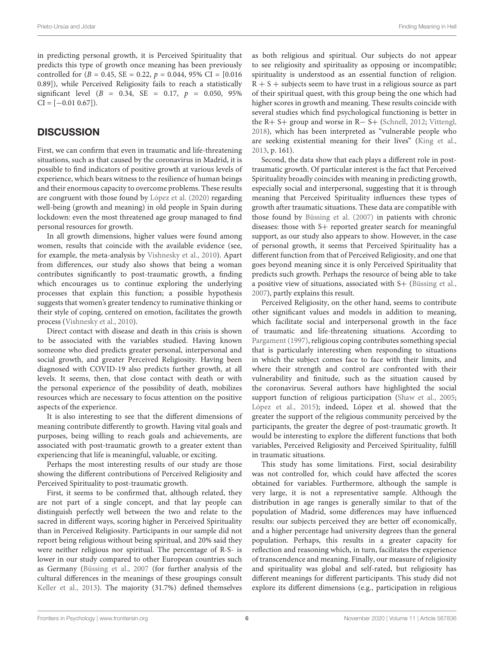in predicting personal growth, it is Perceived Spirituality that predicts this type of growth once meaning has been previously controlled for  $(B = 0.45, SE = 0.22, p = 0.044, 95\% \text{ CI} = [0.016$ 0.89]), while Perceived Religiosity fails to reach a statistically significant level ( $B = 0.34$ ,  $SE = 0.17$ ,  $p = 0.050$ , 95%  $CI = [-0.01 0.67]$ .

# **DISCUSSION**

First, we can confirm that even in traumatic and life-threatening situations, such as that caused by the coronavirus in Madrid, it is possible to find indicators of positive growth at various levels of experience, which bears witness to the resilience of human beings and their enormous capacity to overcome problems. These results are congruent with those found by [López et al.](#page-6-14) [\(2020\)](#page-6-14) regarding well-being (growth and meaning) in old people in Spain during lockdown: even the most threatened age group managed to find personal resources for growth.

In all growth dimensions, higher values were found among women, results that coincide with the available evidence (see, for example, the meta-analysis by [Vishnesky et al.,](#page-7-1) [2010\)](#page-7-1). Apart from differences, our study also shows that being a woman contributes significantly to post-traumatic growth, a finding which encourages us to continue exploring the underlying processes that explain this function; a possible hypothesis suggests that women's greater tendency to ruminative thinking or their style of coping, centered on emotion, facilitates the growth process [\(Vishnesky et al.,](#page-7-1) [2010\)](#page-7-1).

Direct contact with disease and death in this crisis is shown to be associated with the variables studied. Having known someone who died predicts greater personal, interpersonal and social growth, and greater Perceived Religiosity. Having been diagnosed with COVID-19 also predicts further growth, at all levels. It seems, then, that close contact with death or with the personal experience of the possibility of death, mobilizes resources which are necessary to focus attention on the positive aspects of the experience.

It is also interesting to see that the different dimensions of meaning contribute differently to growth. Having vital goals and purposes, being willing to reach goals and achievements, are associated with post-traumatic growth to a greater extent than experiencing that life is meaningful, valuable, or exciting.

Perhaps the most interesting results of our study are those showing the different contributions of Perceived Religiosity and Perceived Spirituality to post-traumatic growth.

First, it seems to be confirmed that, although related, they are not part of a single concept, and that lay people can distinguish perfectly well between the two and relate to the sacred in different ways, scoring higher in Perceived Spirituality than in Perceived Religiosity. Participants in our sample did not report being religious without being spiritual, and 20% said they were neither religious nor spiritual. The percentage of R-S- is lower in our study compared to other European countries such as Germany [\(Büssing et al.,](#page-6-15) [2007](#page-6-15) (for further analysis of the cultural differences in the meanings of these groupings consult [Keller et al.,](#page-6-16) [2013\)](#page-6-16). The majority (31.7%) defined themselves

as both religious and spiritual. Our subjects do not appear to see religiosity and spirituality as opposing or incompatible; spirituality is understood as an essential function of religion.  $R + S +$  subjects seem to have trust in a religious source as part of their spiritual quest, with this group being the one which had higher scores in growth and meaning. These results coincide with several studies which find psychological functioning is better in the R+ S+ group and worse in R− S+ [\(Schnell,](#page-6-17) [2012;](#page-6-17) [Vittengl,](#page-7-2) [2018\)](#page-7-2), which has been interpreted as "vulnerable people who are seeking existential meaning for their lives" [\(King et al.,](#page-6-18) [2013,](#page-6-18) p. 161).

Second, the data show that each plays a different role in posttraumatic growth. Of particular interest is the fact that Perceived Spirituality broadly coincides with meaning in predicting growth, especially social and interpersonal, suggesting that it is through meaning that Perceived Spirituality influences these types of growth after traumatic situations. These data are compatible with those found by [Büssing et al.](#page-6-15) [\(2007\)](#page-6-15) in patients with chronic diseases: those with S+ reported greater search for meaningful support, as our study also appears to show. However, in the case of personal growth, it seems that Perceived Spirituality has a different function from that of Perceived Religiosity, and one that goes beyond meaning since it is only Perceived Spirituality that predicts such growth. Perhaps the resource of being able to take a positive view of situations, associated with S+ [\(Büssing et al.,](#page-6-15) [2007\)](#page-6-15), partly explains this result.

Perceived Religiosity, on the other hand, seems to contribute other significant values and models in addition to meaning, which facilitate social and interpersonal growth in the face of traumatic and life-threatening situations. According to [Pargament](#page-6-9) [\(1997\)](#page-6-9), religious coping contributes something special that is particularly interesting when responding to situations in which the subject comes face to face with their limits, and where their strength and control are confronted with their vulnerability and finitude, such as the situation caused by the coronavirus. Several authors have highlighted the social support function of religious participation [\(Shaw et al.,](#page-6-6) [2005;](#page-6-6) [López et al.,](#page-6-19) [2015\)](#page-6-19); indeed, López et al. showed that the greater the support of the religious community perceived by the participants, the greater the degree of post-traumatic growth. It would be interesting to explore the different functions that both variables, Perceived Religiosity and Perceived Spirituality, fulfill in traumatic situations.

This study has some limitations. First, social desirability was not controlled for, which could have affected the scores obtained for variables. Furthermore, although the sample is very large, it is not a representative sample. Although the distribution in age ranges is generally similar to that of the population of Madrid, some differences may have influenced results: our subjects perceived they are better off economically, and a higher percentage had university degrees than the general population. Perhaps, this results in a greater capacity for reflection and reasoning which, in turn, facilitates the experience of transcendence and meaning. Finally, our measure of religiosity and spirituality was global and self-rated, but religiosity has different meanings for different participants. This study did not explore its different dimensions (e.g., participation in religious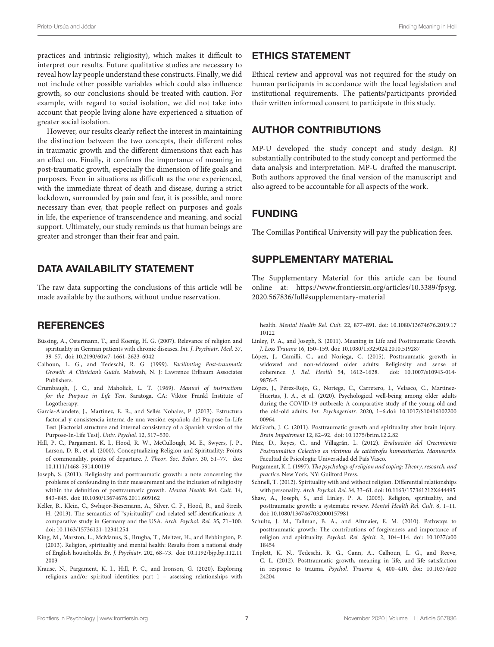practices and intrinsic religiosity), which makes it difficult to interpret our results. Future qualitative studies are necessary to reveal how lay people understand these constructs. Finally, we did not include other possible variables which could also influence growth, so our conclusions should be treated with caution. For example, with regard to social isolation, we did not take into account that people living alone have experienced a situation of greater social isolation.

However, our results clearly reflect the interest in maintaining the distinction between the two concepts, their different roles in traumatic growth and the different dimensions that each has an effect on. Finally, it confirms the importance of meaning in post-traumatic growth, especially the dimension of life goals and purposes. Even in situations as difficult as the one experienced, with the immediate threat of death and disease, during a strict lockdown, surrounded by pain and fear, it is possible, and more necessary than ever, that people reflect on purposes and goals in life, the experience of transcendence and meaning, and social support. Ultimately, our study reminds us that human beings are greater and stronger than their fear and pain.

# DATA AVAILABILITY STATEMENT

The raw data supporting the conclusions of this article will be made available by the authors, without undue reservation.

## **REFERENCES**

- <span id="page-6-15"></span>Büssing, A., Ostermann, T., and Koenig, H. G. (2007). Relevance of religion and spirituality in German patients with chronic diseases. Int. J. Psychiatr. Med. 37, 39–57. [doi: 10.2190/60w7-1661-2623-6042](https://doi.org/10.2190/60w7-1661-2623-6042)
- <span id="page-6-1"></span>Calhoun, L. G., and Tedeschi, R. G. (1999). Facilitating Post-traumatic Growth: A Clinician's Guide. Mahwah, N. J: Lawrence Erlbaum Associates Publishers.
- <span id="page-6-12"></span>Crumbaugh, J. C., and Maholick, L. T. (1969). Manual of instructions for the Purpose in Life Test. Saratoga, CA: Viktor Frankl Institute of Logotherapy.
- <span id="page-6-5"></span>García-Alandete, J., Martínez, E. R., and Sellés Nohales, P. (2013). Estructura factorial y consistencia interna de una versión española del Purpose-In-Life Test [Factorial structure and internal consistency of a Spanish version of the Purpose-In-Life Test]. Univ. Psychol. 12, 517–530.
- <span id="page-6-10"></span>Hill, P. C., Pargament, K. I., Hood, R. W., McCullough, M. E., Swyers, J. P., Larson, D. B., et al. (2000). Conceptualizing Religion and Spirituality: Points of commonality, points of departure. J. Theor. Soc. Behav. 30, 51–77. [doi:](https://doi.org/10.1111/1468-5914.00119) [10.1111/1468-5914.00119](https://doi.org/10.1111/1468-5914.00119)
- <span id="page-6-8"></span>Joseph, S. (2011). Religiosity and posttraumatic growth: a note concerning the problems of confounding in their measurement and the inclusion of religiosity within the definition of posttraumatic growth. Mental Health Rel. Cult. 14, 843–845. [doi: 10.1080/13674676.2011.609162](https://doi.org/10.1080/13674676.2011.609162)
- <span id="page-6-16"></span>Keller, B., Klein, C., Swhajor-Biesemann, A., Silver, C. F., Hood, R., and Streib, H. (2013). The semantics of "spirituality" and related self-identifications: A comparative study in Germany and the USA. Arch. Psychol. Rel. 35, 71–100. [doi: 10.1163/15736121-12341254](https://doi.org/10.1163/15736121-12341254)
- <span id="page-6-18"></span>King, M., Marston, L., McManus, S., Brugha, T., Meltzer, H., and Bebbington, P. (2013). Religion, spirituality and mental health: Results from a national study of English households. Br. J. Psychiatr. 202, 68–73. [doi: 10.1192/bjp.bp.112.11](https://doi.org/10.1192/bjp.bp.112.112003) [2003](https://doi.org/10.1192/bjp.bp.112.112003)
- <span id="page-6-11"></span>Krause, N., Pargament, K. I., Hill, P. C., and Ironson, G. (2020). Exploring religious and/or spiritual identities: part 1 – assessing relationships with

#### ETHICS STATEMENT

Ethical review and approval was not required for the study on human participants in accordance with the local legislation and institutional requirements. The patients/participants provided their written informed consent to participate in this study.

## AUTHOR CONTRIBUTIONS

MP-U developed the study concept and study design. RJ substantially contributed to the study concept and performed the data analysis and interpretation. MP-U drafted the manuscript. Both authors approved the final version of the manuscript and also agreed to be accountable for all aspects of the work.

# FUNDING

The Comillas Pontifical University will pay the publication fees.

# <span id="page-6-13"></span>SUPPLEMENTARY MATERIAL

The Supplementary Material for this article can be found online at: [https://www.frontiersin.org/articles/10.3389/fpsyg.](https://www.frontiersin.org/articles/10.3389/fpsyg.2020.567836/full#supplementary-material) [2020.567836/full#supplementary-material](https://www.frontiersin.org/articles/10.3389/fpsyg.2020.567836/full#supplementary-material)

health. Mental Health Rel. Cult. 22, 877–891. [doi: 10.1080/13674676.2019.17](https://doi.org/10.1080/13674676.2019.1710122) [10122](https://doi.org/10.1080/13674676.2019.1710122)

- <span id="page-6-2"></span>Linley, P. A., and Joseph, S. (2011). Meaning in Life and Posttraumatic Growth. J. Loss Trauma 16, 150–159. [doi: 10.1080/15325024.2010.519287](https://doi.org/10.1080/15325024.2010.519287)
- <span id="page-6-19"></span>López, J., Camilli, C., and Noriega, C. (2015). Posttraumatic growth in widowed and non-widowed older adults: Religiosity and sense of coherence. J. Rel. Health 54, 1612–1628. [doi: 10.1007/s10943-014-](https://doi.org/10.1007/s10943-014-9876-5) [9876-5](https://doi.org/10.1007/s10943-014-9876-5)
- <span id="page-6-14"></span>López, J., Pérez-Rojo, G., Noriega, C., Carretero, I., Velasco, C., Martínez-Huertas, J. A., et al. (2020). Psychological well-being among older adults during the COVID-19 outbreak: A comparative study of the young-old and the old-old adults. Int. Psychogeriatr. 2020, 1–6[.doi: 10.1017/S10416102200](https://doi.org/10.1017/S1041610220000964) [00964](https://doi.org/10.1017/S1041610220000964)
- <span id="page-6-7"></span>McGrath, J. C. (2011). Posttraumatic growth and spirituality after brain injury. Brain Impairment 12, 82–92. [doi: 10.1375/brim.12.2.82](https://doi.org/10.1375/brim.12.2.82)
- <span id="page-6-0"></span>Páez, D., Reyes, C., and Villagrán, L. (2012). Evaluación del Crecimiento Postraumático Colectivo en víctimas de catástrofes humanitarias. Manuscrito. Facultad de Psicología: Universidad del País Vasco.
- <span id="page-6-9"></span>Pargament, K. I. (1997). The psychology of religion and coping: Theory, research, and practice. New York, NY: Guilford Press.
- <span id="page-6-17"></span>Schnell, T. (2012). Spirituality with and without religion. Differential relationships with personality. Arch. Psychol. Rel. 34, 33–61. [doi: 10.1163/157361212X644495](https://doi.org/10.1163/157361212X644495)
- <span id="page-6-6"></span>Shaw, A., Joseph, S., and Linley, P. A. (2005). Religion, spirituality, and posttraumatic growth: a systematic review. Mental Health Rel. Cult. 8, 1–11. [doi: 10.1080/1367467032000157981](https://doi.org/10.1080/1367467032000157981)
- <span id="page-6-4"></span>Schultz, J. M., Tallman, B. A., and Altmaier, E. M. (2010). Pathways to posttraumatic growth: The contributions of forgiveness and importance of religion and spirituality. Psychol. Rel. Spirit. 2, 104–114. [doi: 10.1037/a00](https://doi.org/10.1037/a0018454) [18454](https://doi.org/10.1037/a0018454)
- <span id="page-6-3"></span>Triplett, K. N., Tedeschi, R. G., Cann, A., Calhoun, L. G., and Reeve, C. L. (2012). Posttraumatic growth, meaning in life, and life satisfaction in response to trauma. Psychol. Trauma 4, 400–410. [doi: 10.1037/a00](https://doi.org/10.1037/a0024204) [24204](https://doi.org/10.1037/a0024204)